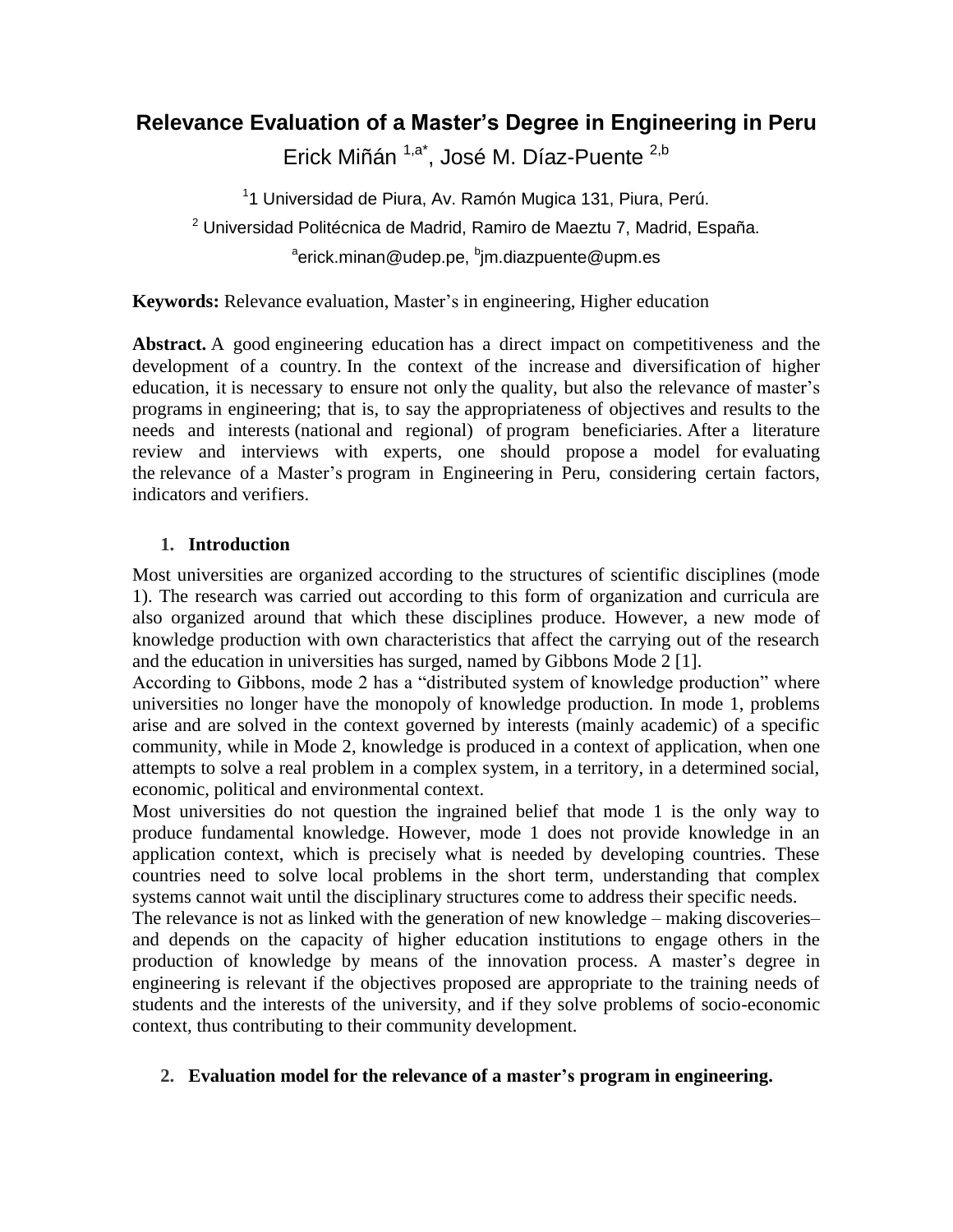# **Relevance Evaluation of a Master's Degree in Engineering in Peru**

Erick Miñán <sup>1,a\*</sup>, José M. Díaz-Puente <sup>2,b</sup>

<sup>1</sup>1 Universidad de Piura, Av. Ramón Mugica 131, Piura, Perú. <sup>2</sup> Universidad Politécnica de Madrid, Ramiro de Maeztu 7, Madrid, España. <sup>a</sup>erick.minan@udep.pe, <sup>b</sup>jm.diazpuente@upm.es

**Keywords:** Relevance evaluation, Master's in engineering, Higher education

Abstract. A good engineering education has a direct impact on competitiveness and the development of a country. In the context of the increase and diversification of higher education, it is necessary to ensure not only the quality, but also the relevance of master's programs in engineering; that is, to say the appropriateness of objectives and results to the needs and interests (national and regional) of program beneficiaries. After a literature review and interviews with experts, one should propose a model for evaluating the relevance of a Master"s program in Engineering in Peru, considering certain factors, indicators and verifiers.

## **1. Introduction**

Most universities are organized according to the structures of scientific disciplines (mode 1). The research was carried out according to this form of organization and curricula are also organized around that which these disciplines produce. However, a new mode of knowledge production with own characteristics that affect the carrying out of the research and the education in universities has surged, named by Gibbons Mode 2 [1].

According to Gibbons, mode 2 has a "distributed system of knowledge production" where universities no longer have the monopoly of knowledge production. In mode 1, problems arise and are solved in the context governed by interests (mainly academic) of a specific community, while in Mode 2, knowledge is produced in a context of application, when one attempts to solve a real problem in a complex system, in a territory, in a determined social, economic, political and environmental context.

Most universities do not question the ingrained belief that mode 1 is the only way to produce fundamental knowledge. However, mode 1 does not provide knowledge in an application context, which is precisely what is needed by developing countries. These countries need to solve local problems in the short term, understanding that complex systems cannot wait until the disciplinary structures come to address their specific needs.

The relevance is not as linked with the generation of new knowledge – making discoveries– and depends on the capacity of higher education institutions to engage others in the production of knowledge by means of the innovation process. A master"s degree in engineering is relevant if the objectives proposed are appropriate to the training needs of students and the interests of the university, and if they solve problems of socio-economic context, thus contributing to their community development.

## **2. Evaluation model for the relevance of a master's program in engineering.**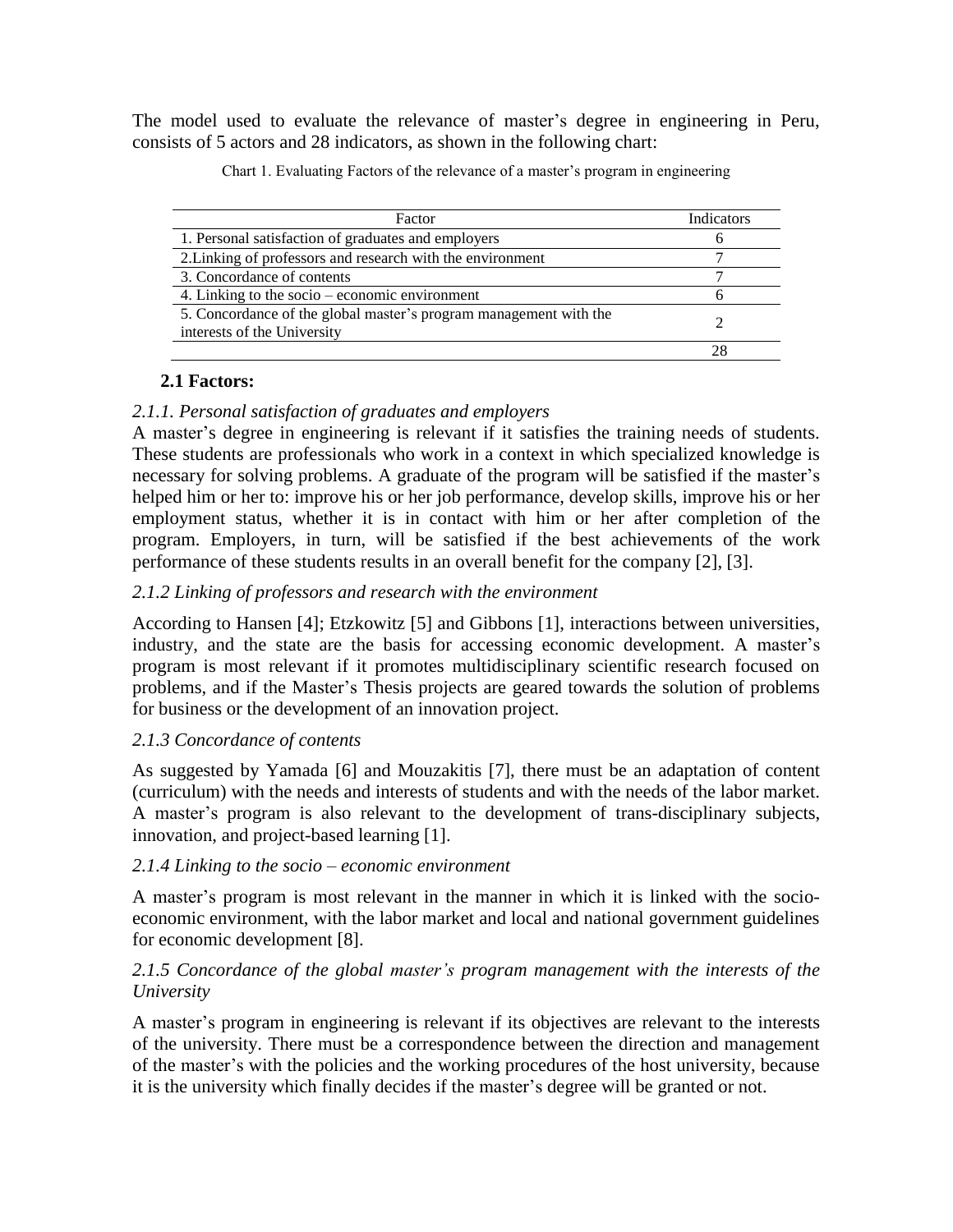The model used to evaluate the relevance of master's degree in engineering in Peru, consists of 5 actors and 28 indicators, as shown in the following chart:

| Factor                                                                                           | Indicators |
|--------------------------------------------------------------------------------------------------|------------|
| 1. Personal satisfaction of graduates and employers                                              |            |
| 2. Linking of professors and research with the environment                                       |            |
| 3. Concordance of contents                                                                       |            |
| 4. Linking to the socio – economic environment                                                   |            |
| 5. Concordance of the global master's program management with the<br>interests of the University |            |
|                                                                                                  |            |

Chart 1. Evaluating Factors of the relevance of a master's program in engineering

## **2.1 Factors:**

### *2.1.1. Personal satisfaction of graduates and employers*

A master"s degree in engineering is relevant if it satisfies the training needs of students. These students are professionals who work in a context in which specialized knowledge is necessary for solving problems. A graduate of the program will be satisfied if the master's helped him or her to: improve his or her job performance, develop skills, improve his or her employment status, whether it is in contact with him or her after completion of the program. Employers, in turn, will be satisfied if the best achievements of the work performance of these students results in an overall benefit for the company [2], [3].

## *2.1.2 Linking of professors and research with the environment*

According to Hansen [4]; Etzkowitz [5] and Gibbons [1], interactions between universities, industry, and the state are the basis for accessing economic development. A master's program is most relevant if it promotes multidisciplinary scientific research focused on problems, and if the Master"s Thesis projects are geared towards the solution of problems for business or the development of an innovation project.

#### *2.1.3 Concordance of contents*

As suggested by Yamada [6] and Mouzakitis [7], there must be an adaptation of content (curriculum) with the needs and interests of students and with the needs of the labor market. A master"s program is also relevant to the development of trans-disciplinary subjects, innovation, and project-based learning [1].

#### *2.1.4 Linking to the socio – economic environment*

A master"s program is most relevant in the manner in which it is linked with the socioeconomic environment, with the labor market and local and national government guidelines for economic development [8].

### *2.1.5 Concordance of the global master's program management with the interests of the University*

A master"s program in engineering is relevant if its objectives are relevant to the interests of the university. There must be a correspondence between the direction and management of the master"s with the policies and the working procedures of the host university, because it is the university which finally decides if the master"s degree will be granted or not.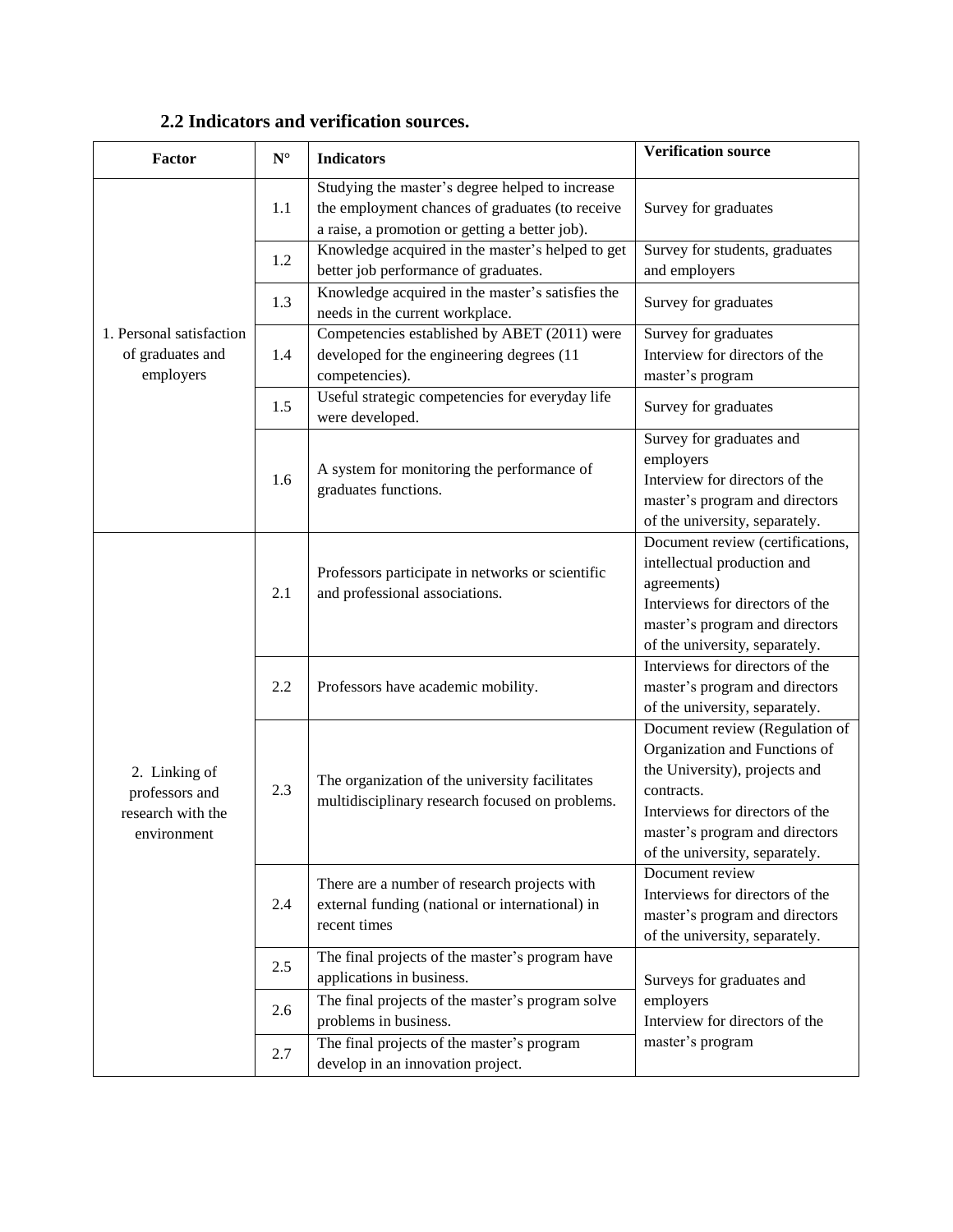| <b>Factor</b>                                                       | $\mathbf{N}^\circ$ | <b>Indicators</b>                                                                                                                                    | <b>Verification source</b>                                                                                                                                                                                            |
|---------------------------------------------------------------------|--------------------|------------------------------------------------------------------------------------------------------------------------------------------------------|-----------------------------------------------------------------------------------------------------------------------------------------------------------------------------------------------------------------------|
| 1. Personal satisfaction<br>of graduates and<br>employers           | 1.1                | Studying the master's degree helped to increase<br>the employment chances of graduates (to receive<br>a raise, a promotion or getting a better job). | Survey for graduates                                                                                                                                                                                                  |
|                                                                     | 1.2                | Knowledge acquired in the master's helped to get<br>better job performance of graduates.                                                             | Survey for students, graduates<br>and employers                                                                                                                                                                       |
|                                                                     | 1.3                | Knowledge acquired in the master's satisfies the<br>needs in the current workplace.                                                                  | Survey for graduates                                                                                                                                                                                                  |
|                                                                     | 1.4                | Competencies established by ABET (2011) were<br>developed for the engineering degrees (11<br>competencies).                                          | Survey for graduates<br>Interview for directors of the<br>master's program                                                                                                                                            |
|                                                                     | 1.5                | Useful strategic competencies for everyday life<br>were developed.                                                                                   | Survey for graduates                                                                                                                                                                                                  |
|                                                                     | 1.6                | A system for monitoring the performance of<br>graduates functions.                                                                                   | Survey for graduates and<br>employers<br>Interview for directors of the<br>master's program and directors<br>of the university, separately.                                                                           |
| 2. Linking of<br>professors and<br>research with the<br>environment | 2.1                | Professors participate in networks or scientific<br>and professional associations.                                                                   | Document review (certifications,<br>intellectual production and<br>agreements)<br>Interviews for directors of the<br>master's program and directors<br>of the university, separately.                                 |
|                                                                     | 2.2                | Professors have academic mobility.                                                                                                                   | Interviews for directors of the<br>master's program and directors<br>of the university, separately.                                                                                                                   |
|                                                                     | 2.3                | The organization of the university facilitates<br>multidisciplinary research focused on problems.                                                    | Document review (Regulation of<br>Organization and Functions of<br>the University), projects and<br>contracts.<br>Interviews for directors of the<br>master's program and directors<br>of the university, separately. |
|                                                                     | 2.4                | There are a number of research projects with<br>external funding (national or international) in<br>recent times                                      | Document review<br>Interviews for directors of the<br>master's program and directors<br>of the university, separately.                                                                                                |
|                                                                     | 2.5                | The final projects of the master's program have<br>applications in business.                                                                         | Surveys for graduates and                                                                                                                                                                                             |
|                                                                     | 2.6                | The final projects of the master's program solve<br>problems in business.                                                                            | employers<br>Interview for directors of the                                                                                                                                                                           |
|                                                                     | 2.7                | The final projects of the master's program<br>develop in an innovation project.                                                                      | master's program                                                                                                                                                                                                      |

## **2.2 Indicators and verification sources.**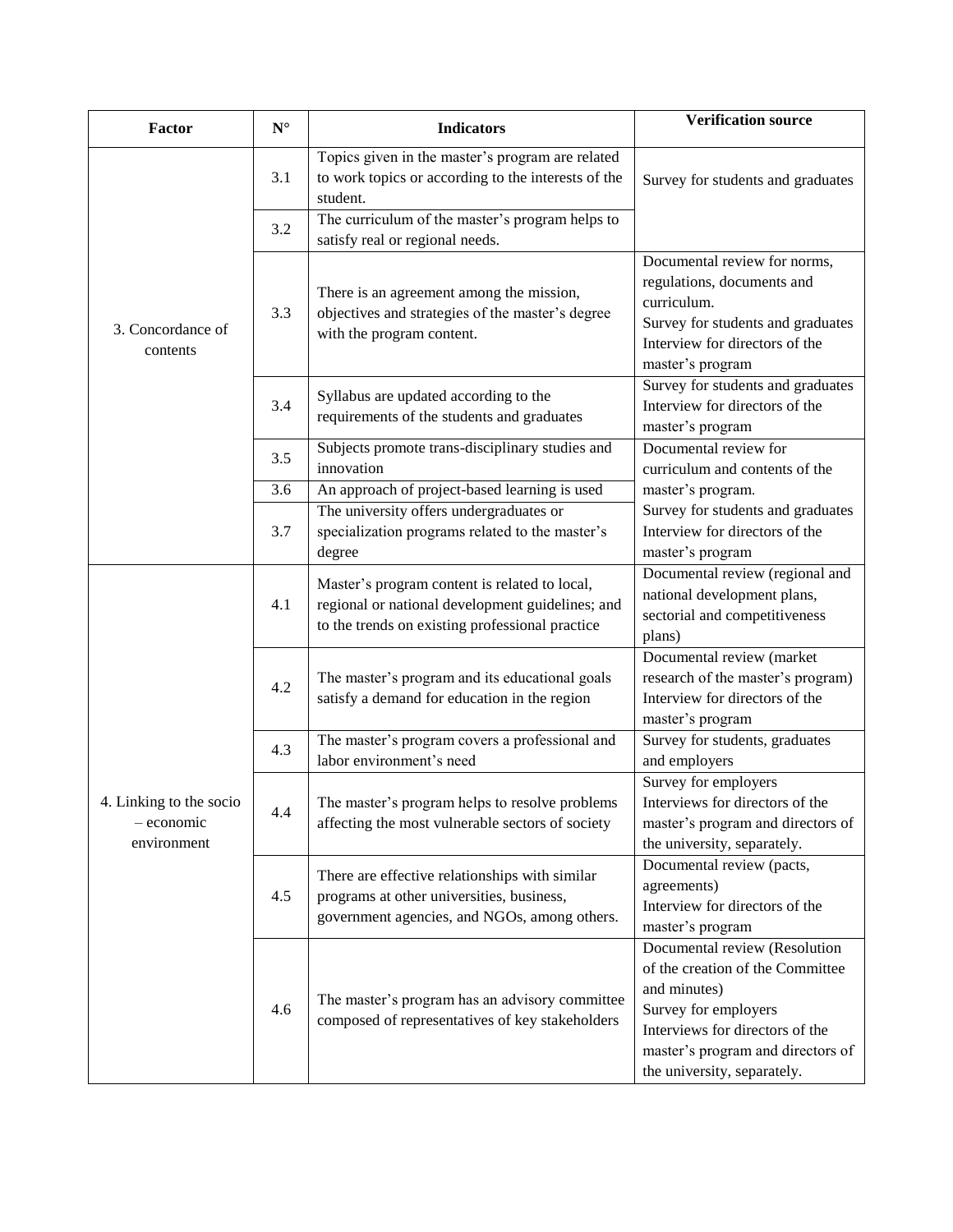| Factor                                               | $\mathbf{N}^{\circ}$ | <b>Indicators</b>                                                                                                                                    | <b>Verification source</b>                                                                                                                                                                                       |
|------------------------------------------------------|----------------------|------------------------------------------------------------------------------------------------------------------------------------------------------|------------------------------------------------------------------------------------------------------------------------------------------------------------------------------------------------------------------|
| 3. Concordance of<br>contents                        | 3.1                  | Topics given in the master's program are related<br>to work topics or according to the interests of the<br>student.                                  | Survey for students and graduates                                                                                                                                                                                |
|                                                      | 3.2                  | The curriculum of the master's program helps to<br>satisfy real or regional needs.                                                                   |                                                                                                                                                                                                                  |
|                                                      | 3.3                  | There is an agreement among the mission,<br>objectives and strategies of the master's degree<br>with the program content.                            | Documental review for norms,<br>regulations, documents and<br>curriculum.<br>Survey for students and graduates<br>Interview for directors of the<br>master's program                                             |
|                                                      | 3.4                  | Syllabus are updated according to the<br>requirements of the students and graduates                                                                  | Survey for students and graduates<br>Interview for directors of the<br>master's program                                                                                                                          |
|                                                      | 3.5                  | Subjects promote trans-disciplinary studies and<br>innovation                                                                                        | Documental review for<br>curriculum and contents of the                                                                                                                                                          |
|                                                      | 3.6                  | An approach of project-based learning is used                                                                                                        | master's program.                                                                                                                                                                                                |
|                                                      | 3.7                  | The university offers undergraduates or<br>specialization programs related to the master's<br>degree                                                 | Survey for students and graduates<br>Interview for directors of the<br>master's program                                                                                                                          |
| 4. Linking to the socio<br>- economic<br>environment | 4.1                  | Master's program content is related to local,<br>regional or national development guidelines; and<br>to the trends on existing professional practice | Documental review (regional and<br>national development plans,<br>sectorial and competitiveness<br>plans)                                                                                                        |
|                                                      | 4.2                  | The master's program and its educational goals<br>satisfy a demand for education in the region                                                       | Documental review (market<br>research of the master's program)<br>Interview for directors of the<br>master's program                                                                                             |
|                                                      | 4.3                  | The master's program covers a professional and<br>labor environment's need                                                                           | Survey for students, graduates<br>and employers                                                                                                                                                                  |
|                                                      | 4.4                  | The master's program helps to resolve problems<br>affecting the most vulnerable sectors of society                                                   | Survey for employers<br>Interviews for directors of the<br>master's program and directors of<br>the university, separately.                                                                                      |
|                                                      | 4.5                  | There are effective relationships with similar<br>programs at other universities, business,<br>government agencies, and NGOs, among others.          | Documental review (pacts,<br>agreements)<br>Interview for directors of the<br>master's program                                                                                                                   |
|                                                      | 4.6                  | The master's program has an advisory committee<br>composed of representatives of key stakeholders                                                    | Documental review (Resolution<br>of the creation of the Committee<br>and minutes)<br>Survey for employers<br>Interviews for directors of the<br>master's program and directors of<br>the university, separately. |